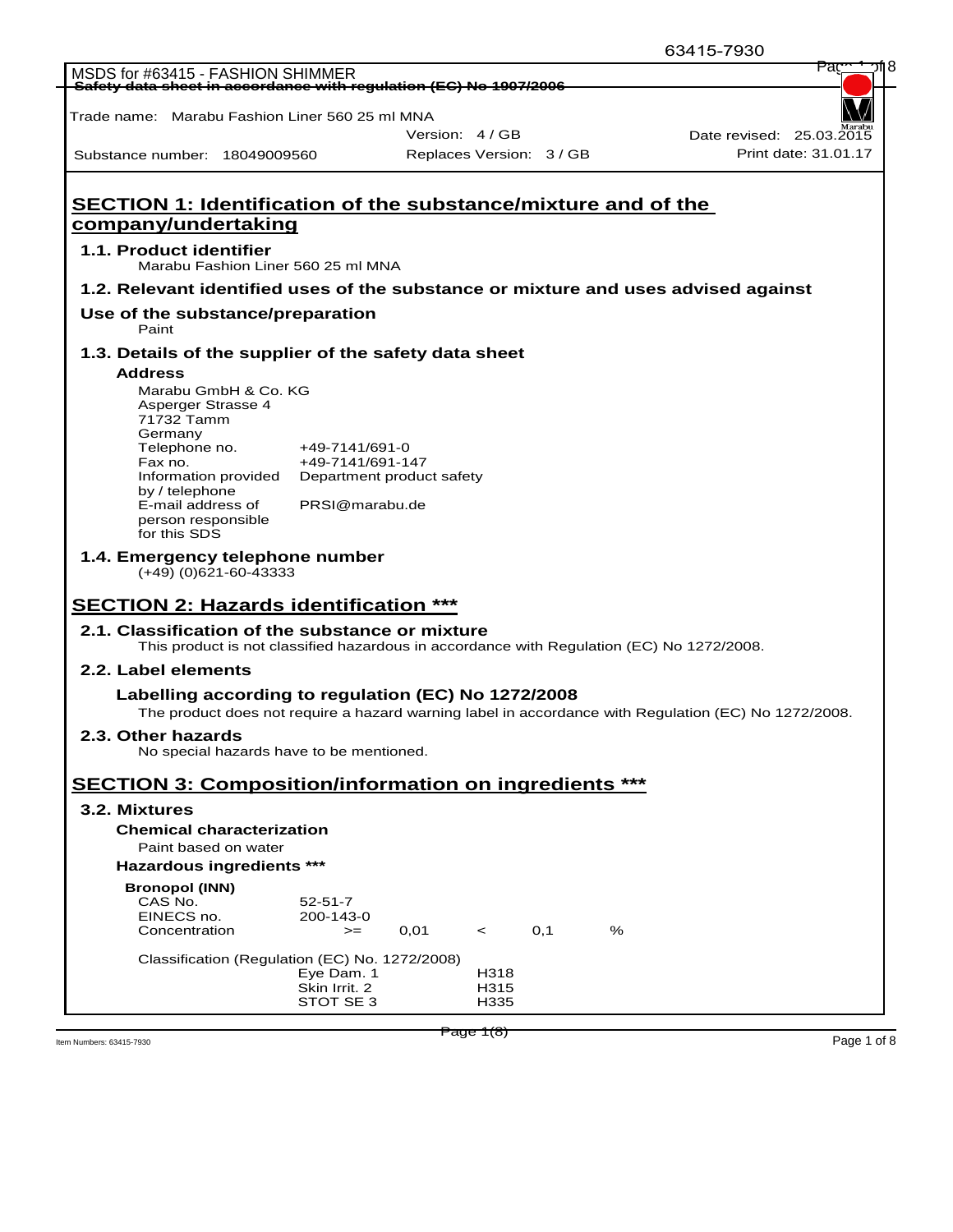|                                                                                                                                                                |                            |      |                          |     |   | 63415-7930                                                                                           |                      |
|----------------------------------------------------------------------------------------------------------------------------------------------------------------|----------------------------|------|--------------------------|-----|---|------------------------------------------------------------------------------------------------------|----------------------|
| MSDS for #63415 - FASHION SHIMMER<br>Safety data sheet in accordance with regulation (EC) No 1907/2006                                                         |                            |      |                          |     |   |                                                                                                      | Pao                  |
|                                                                                                                                                                |                            |      |                          |     |   |                                                                                                      |                      |
| Trade name: Marabu Fashion Liner 560 25 ml MNA                                                                                                                 |                            |      |                          |     |   |                                                                                                      |                      |
|                                                                                                                                                                |                            |      | Version: 4 / GB          |     |   | Date revised: 25.03.2015                                                                             |                      |
| Substance number: 18049009560                                                                                                                                  |                            |      | Replaces Version: 3 / GB |     |   |                                                                                                      | Print date: 31.01.17 |
|                                                                                                                                                                |                            |      |                          |     |   |                                                                                                      |                      |
| <b>SECTION 1: Identification of the substance/mixture and of the</b>                                                                                           |                            |      |                          |     |   |                                                                                                      |                      |
| company/undertaking                                                                                                                                            |                            |      |                          |     |   |                                                                                                      |                      |
| 1.1. Product identifier<br>Marabu Fashion Liner 560 25 ml MNA                                                                                                  |                            |      |                          |     |   |                                                                                                      |                      |
| 1.2. Relevant identified uses of the substance or mixture and uses advised against                                                                             |                            |      |                          |     |   |                                                                                                      |                      |
| Use of the substance/preparation<br>Paint                                                                                                                      |                            |      |                          |     |   |                                                                                                      |                      |
| 1.3. Details of the supplier of the safety data sheet                                                                                                          |                            |      |                          |     |   |                                                                                                      |                      |
| <b>Address</b>                                                                                                                                                 |                            |      |                          |     |   |                                                                                                      |                      |
| Marabu GmbH & Co. KG<br>Asperger Strasse 4                                                                                                                     |                            |      |                          |     |   |                                                                                                      |                      |
| 71732 Tamm                                                                                                                                                     |                            |      |                          |     |   |                                                                                                      |                      |
| Germany<br>Telephone no.                                                                                                                                       | +49-7141/691-0             |      |                          |     |   |                                                                                                      |                      |
| Fax no.                                                                                                                                                        | +49-7141/691-147           |      |                          |     |   |                                                                                                      |                      |
| Information provided<br>by / telephone                                                                                                                         | Department product safety  |      |                          |     |   |                                                                                                      |                      |
| E-mail address of                                                                                                                                              | PRSI@marabu.de             |      |                          |     |   |                                                                                                      |                      |
|                                                                                                                                                                |                            |      |                          |     |   |                                                                                                      |                      |
| person responsible<br>for this SDS                                                                                                                             |                            |      |                          |     |   |                                                                                                      |                      |
| 1.4. Emergency telephone number<br>$(+49)$ (0)621-60-43333                                                                                                     |                            |      |                          |     |   |                                                                                                      |                      |
|                                                                                                                                                                |                            |      |                          |     |   |                                                                                                      |                      |
| 2.1. Classification of the substance or mixture<br>This product is not classified hazardous in accordance with Regulation (EC) No 1272/2008.                   |                            |      |                          |     |   |                                                                                                      |                      |
| 2.2. Label elements                                                                                                                                            |                            |      |                          |     |   |                                                                                                      |                      |
|                                                                                                                                                                |                            |      |                          |     |   |                                                                                                      |                      |
| Labelling according to regulation (EC) No 1272/2008                                                                                                            |                            |      |                          |     |   | The product does not require a hazard warning label in accordance with Regulation (EC) No 1272/2008. |                      |
| 2.3. Other hazards                                                                                                                                             |                            |      |                          |     |   |                                                                                                      |                      |
| No special hazards have to be mentioned.                                                                                                                       |                            |      |                          |     |   |                                                                                                      |                      |
|                                                                                                                                                                |                            |      |                          |     |   |                                                                                                      |                      |
|                                                                                                                                                                |                            |      |                          |     |   |                                                                                                      |                      |
| 3.2. Mixtures<br><b>Chemical characterization</b>                                                                                                              |                            |      |                          |     |   |                                                                                                      |                      |
| Paint based on water                                                                                                                                           |                            |      |                          |     |   |                                                                                                      |                      |
| <b>Hazardous ingredients ***</b>                                                                                                                               |                            |      |                          |     |   |                                                                                                      |                      |
| <b>Bronopol (INN)</b>                                                                                                                                          |                            |      |                          |     |   |                                                                                                      |                      |
| CAS No.                                                                                                                                                        | 52-51-7                    |      |                          |     |   |                                                                                                      |                      |
| EINECS no.<br>Concentration                                                                                                                                    | 200-143-0<br>$>=$          | 0,01 | $\prec$                  | 0,1 | % |                                                                                                      |                      |
|                                                                                                                                                                |                            |      |                          |     |   |                                                                                                      |                      |
| <b>SECTION 2: Hazards identification ***</b><br><b>SECTION 3: Composition/information on ingredients ***</b><br>Classification (Regulation (EC) No. 1272/2008) | Eye Dam. 1                 |      | H318                     |     |   |                                                                                                      |                      |
|                                                                                                                                                                | Skin Irrit. 2<br>STOT SE 3 |      | H315<br>H335             |     |   |                                                                                                      |                      |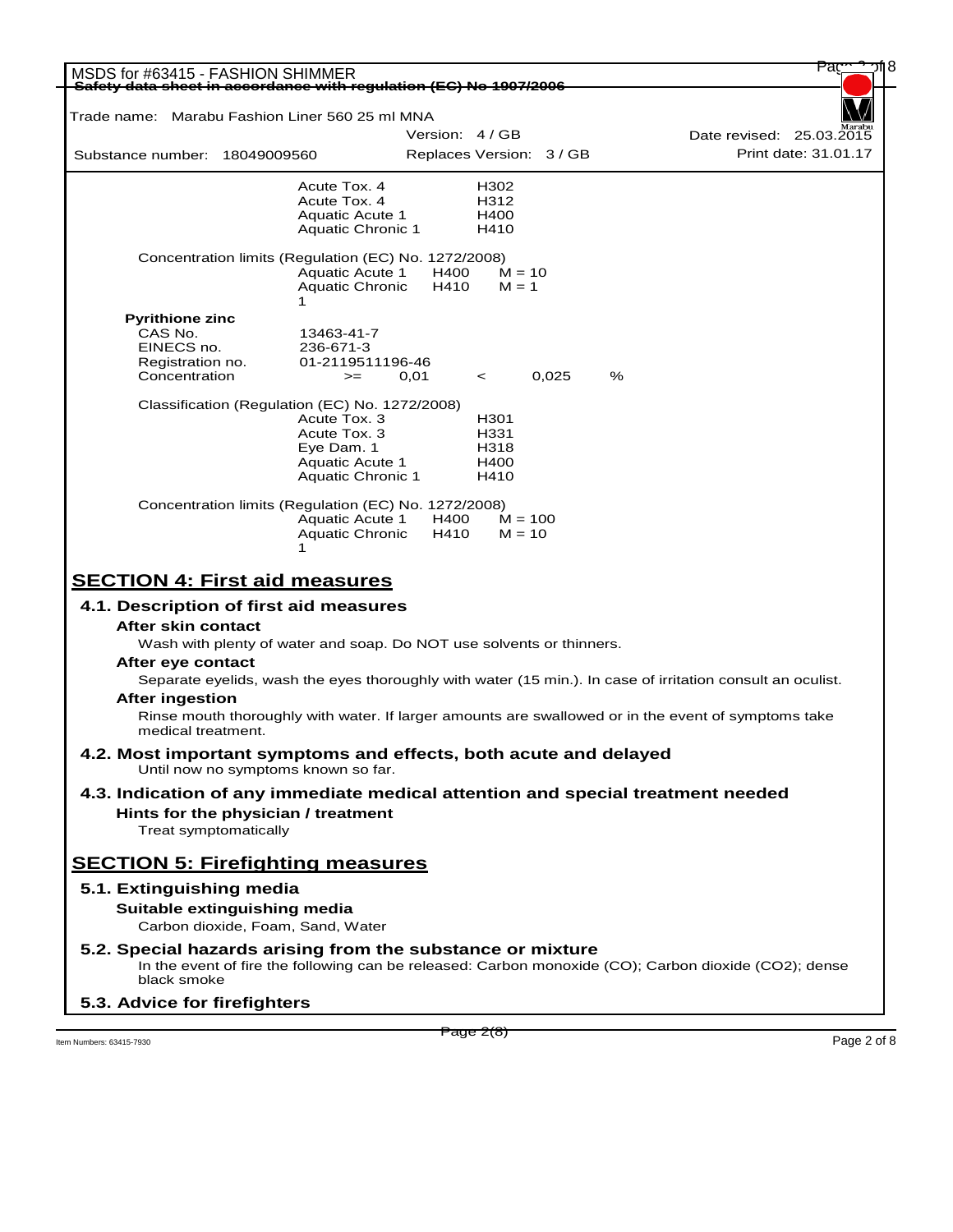| MSDS for #63415 - FASHION SHIMMER<br>Safety data sheet in accordance with regulation (EC) No 1907/2006  |                                           |                          |                     |       |   |                                                                                                            |
|---------------------------------------------------------------------------------------------------------|-------------------------------------------|--------------------------|---------------------|-------|---|------------------------------------------------------------------------------------------------------------|
|                                                                                                         |                                           |                          |                     |       |   |                                                                                                            |
| Trade name: Marabu Fashion Liner 560 25 ml MNA                                                          |                                           |                          |                     |       |   |                                                                                                            |
|                                                                                                         |                                           | Version: 4 / GB          |                     |       |   | Date revised: 25.03.2015                                                                                   |
| Substance number: 18049009560                                                                           |                                           | Replaces Version: 3 / GB |                     |       |   | Print date: 31.01.17                                                                                       |
|                                                                                                         | Acute Tox. 4                              |                          | H302                |       |   |                                                                                                            |
|                                                                                                         | Acute Tox. 4                              |                          | H312                |       |   |                                                                                                            |
|                                                                                                         | <b>Aquatic Acute 1</b>                    |                          | H400                |       |   |                                                                                                            |
|                                                                                                         | Aquatic Chronic 1                         |                          | H410                |       |   |                                                                                                            |
| Concentration limits (Regulation (EC) No. 1272/2008)                                                    | <b>Aquatic Acute 1</b><br>Aquatic Chronic | H400<br>H410             | $M = 10$<br>$M = 1$ |       |   |                                                                                                            |
| <b>Pyrithione zinc</b>                                                                                  | 1                                         |                          |                     |       |   |                                                                                                            |
| CAS No.                                                                                                 | 13463-41-7                                |                          |                     |       |   |                                                                                                            |
| EINECS no.                                                                                              | 236-671-3                                 |                          |                     |       |   |                                                                                                            |
| Registration no.                                                                                        | 01-2119511196-46                          |                          |                     |       |   |                                                                                                            |
| Concentration                                                                                           | $>=$                                      | 0,01                     | $\prec$             | 0.025 | % |                                                                                                            |
| Classification (Regulation (EC) No. 1272/2008)                                                          |                                           |                          |                     |       |   |                                                                                                            |
|                                                                                                         | Acute Tox. 3                              |                          | H301                |       |   |                                                                                                            |
|                                                                                                         | Acute Tox. 3                              |                          | H331                |       |   |                                                                                                            |
|                                                                                                         | Eye Dam. 1                                |                          | H318                |       |   |                                                                                                            |
|                                                                                                         | <b>Aquatic Acute 1</b>                    |                          | H400                |       |   |                                                                                                            |
|                                                                                                         | Aquatic Chronic 1                         |                          | H410                |       |   |                                                                                                            |
| Concentration limits (Regulation (EC) No. 1272/2008)                                                    |                                           |                          |                     |       |   |                                                                                                            |
|                                                                                                         | <b>Aquatic Acute 1</b>                    | H400                     | $M = 100$           |       |   |                                                                                                            |
|                                                                                                         | <b>Aquatic Chronic</b>                    | H410                     | $M = 10$            |       |   |                                                                                                            |
|                                                                                                         |                                           |                          |                     |       |   |                                                                                                            |
| <b>SECTION 4: First aid measures</b>                                                                    |                                           |                          |                     |       |   |                                                                                                            |
|                                                                                                         |                                           |                          |                     |       |   |                                                                                                            |
| 4.1. Description of first aid measures<br>After skin contact                                            |                                           |                          |                     |       |   |                                                                                                            |
|                                                                                                         |                                           |                          |                     |       |   |                                                                                                            |
| Wash with plenty of water and soap. Do NOT use solvents or thinners.<br>After eye contact               |                                           |                          |                     |       |   |                                                                                                            |
|                                                                                                         |                                           |                          |                     |       |   | Separate eyelids, wash the eyes thoroughly with water (15 min.). In case of irritation consult an oculist. |
| <b>After ingestion</b>                                                                                  |                                           |                          |                     |       |   |                                                                                                            |
|                                                                                                         |                                           |                          |                     |       |   | Rinse mouth thoroughly with water. If larger amounts are swallowed or in the event of symptoms take        |
| medical treatment.                                                                                      |                                           |                          |                     |       |   |                                                                                                            |
| 4.2. Most important symptoms and effects, both acute and delayed<br>Until now no symptoms known so far. |                                           |                          |                     |       |   |                                                                                                            |
| 4.3. Indication of any immediate medical attention and special treatment needed                         |                                           |                          |                     |       |   |                                                                                                            |
|                                                                                                         |                                           |                          |                     |       |   |                                                                                                            |
| Hints for the physician / treatment                                                                     |                                           |                          |                     |       |   |                                                                                                            |
| Treat symptomatically                                                                                   |                                           |                          |                     |       |   |                                                                                                            |
| <b>SECTION 5: Firefighting measures</b>                                                                 |                                           |                          |                     |       |   |                                                                                                            |
| 5.1. Extinguishing media                                                                                |                                           |                          |                     |       |   |                                                                                                            |
| Suitable extinguishing media                                                                            |                                           |                          |                     |       |   |                                                                                                            |
| Carbon dioxide, Foam, Sand, Water                                                                       |                                           |                          |                     |       |   |                                                                                                            |
| 5.2. Special hazards arising from the substance or mixture<br>black smoke                               |                                           |                          |                     |       |   | In the event of fire the following can be released: Carbon monoxide (CO); Carbon dioxide (CO2); dense      |
| 5.3. Advice for firefighters                                                                            |                                           |                          |                     |       |   |                                                                                                            |

 $P \cdot \text{age } Z(8)$ <br>Item Numbers: 63415-7930 Page 2 of 8

Page 2(8)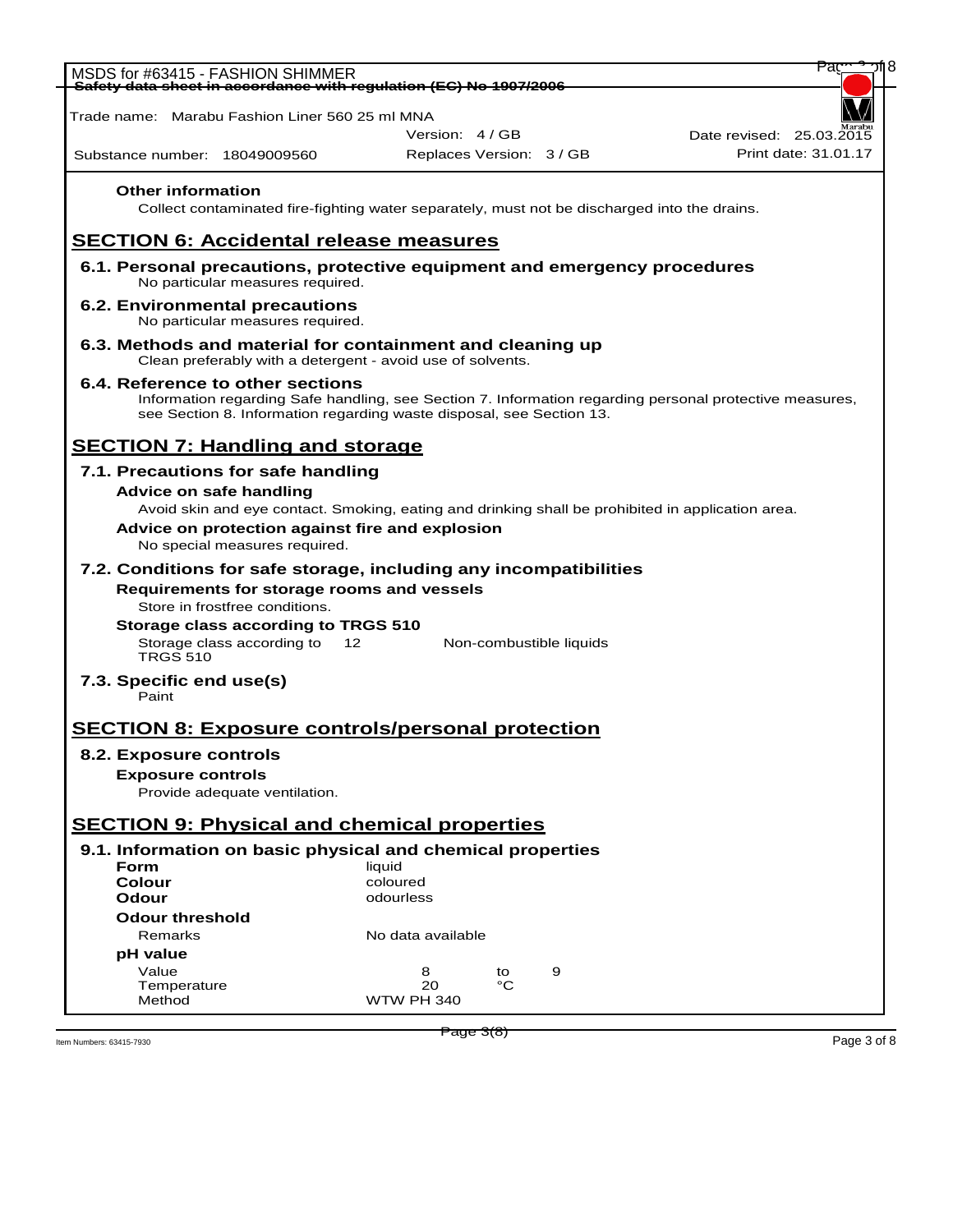|                                   | MSDS for #63415 - FASHION SHIMMER<br>Safety data sheet in accordance with regulation (EC) No 1907/2006                  |                   |                          | ٢a                                                                                                      |
|-----------------------------------|-------------------------------------------------------------------------------------------------------------------------|-------------------|--------------------------|---------------------------------------------------------------------------------------------------------|
|                                   |                                                                                                                         |                   |                          |                                                                                                         |
|                                   | Trade name:   Marabu Fashion Liner 560 25 ml MNA                                                                        |                   |                          |                                                                                                         |
|                                   |                                                                                                                         | Version: 4/GB     |                          | Date revised: 25.03.2015                                                                                |
| Substance number: 18049009560     |                                                                                                                         |                   | Replaces Version: 3 / GB | Print date: 31.01.17                                                                                    |
| <b>Other information</b>          | Collect contaminated fire-fighting water separately, must not be discharged into the drains.                            |                   |                          |                                                                                                         |
|                                   | <b>SECTION 6: Accidental release measures</b>                                                                           |                   |                          |                                                                                                         |
|                                   | 6.1. Personal precautions, protective equipment and emergency procedures<br>No particular measures required.            |                   |                          |                                                                                                         |
|                                   | 6.2. Environmental precautions<br>No particular measures required.                                                      |                   |                          |                                                                                                         |
|                                   | 6.3. Methods and material for containment and cleaning up<br>Clean preferably with a detergent - avoid use of solvents. |                   |                          |                                                                                                         |
|                                   | 6.4. Reference to other sections<br>see Section 8. Information regarding waste disposal, see Section 13.                |                   |                          | Information regarding Safe handling, see Section 7. Information regarding personal protective measures, |
|                                   | <b>SECTION 7: Handling and storage</b>                                                                                  |                   |                          |                                                                                                         |
|                                   | 7.1. Precautions for safe handling                                                                                      |                   |                          |                                                                                                         |
| Advice on safe handling           |                                                                                                                         |                   |                          |                                                                                                         |
|                                   | Avoid skin and eye contact. Smoking, eating and drinking shall be prohibited in application area.                       |                   |                          |                                                                                                         |
|                                   | Advice on protection against fire and explosion                                                                         |                   |                          |                                                                                                         |
|                                   | No special measures required.                                                                                           |                   |                          |                                                                                                         |
|                                   | 7.2. Conditions for safe storage, including any incompatibilities                                                       |                   |                          |                                                                                                         |
|                                   | Requirements for storage rooms and vessels<br>Store in frostfree conditions.                                            |                   |                          |                                                                                                         |
|                                   | Storage class according to TRGS 510                                                                                     |                   |                          |                                                                                                         |
| <b>TRGS 510</b>                   | Storage class according to<br>12                                                                                        |                   | Non-combustible liquids  |                                                                                                         |
|                                   |                                                                                                                         |                   |                          |                                                                                                         |
| 7.3. Specific end use(s)<br>Paint |                                                                                                                         |                   |                          |                                                                                                         |
|                                   | <b>SECTION 8: Exposure controls/personal protection</b>                                                                 |                   |                          |                                                                                                         |
|                                   |                                                                                                                         |                   |                          |                                                                                                         |
| 8.2. Exposure controls            |                                                                                                                         |                   |                          |                                                                                                         |
| <b>Exposure controls</b>          |                                                                                                                         |                   |                          |                                                                                                         |
|                                   | Provide adequate ventilation.                                                                                           |                   |                          |                                                                                                         |
|                                   | <b>SECTION 9: Physical and chemical properties</b>                                                                      |                   |                          |                                                                                                         |
| Form                              | 9.1. Information on basic physical and chemical properties                                                              | liquid            |                          |                                                                                                         |
| <b>Colour</b>                     |                                                                                                                         | coloured          |                          |                                                                                                         |
| Odour                             |                                                                                                                         | odourless         |                          |                                                                                                         |
| <b>Odour threshold</b>            |                                                                                                                         |                   |                          |                                                                                                         |
| Remarks                           |                                                                                                                         | No data available |                          |                                                                                                         |
| pH value                          |                                                                                                                         |                   |                          |                                                                                                         |
| Value                             |                                                                                                                         | 8                 | 9<br>to                  |                                                                                                         |
| Temperature<br>Method             |                                                                                                                         | 20<br>WTW PH 340  | °C                       |                                                                                                         |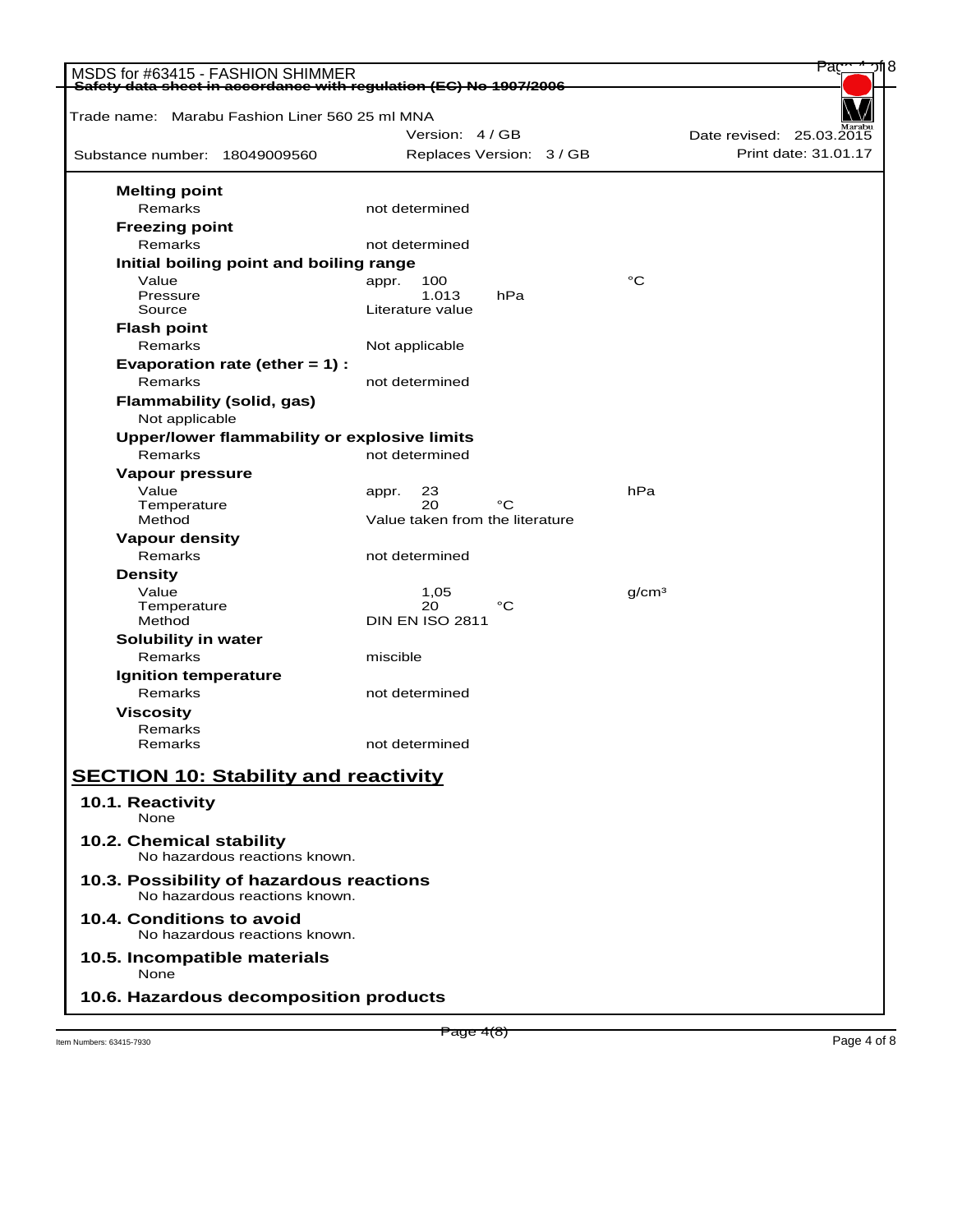| Safety data sheet in accordance with regulation (EC) No 1907/2006<br>Trade name: Marabu Fashion Liner 560 25 ml MNA<br>Substance number: 18049009560<br><b>Melting point</b><br>Remarks<br><b>Freezing point</b> | Version: 4 / GB<br>Replaces Version: 3 / GB<br>not determined<br>not determined |     |                   | Date revised: 25.03.2015<br>Print date: 31.01.17 |
|------------------------------------------------------------------------------------------------------------------------------------------------------------------------------------------------------------------|---------------------------------------------------------------------------------|-----|-------------------|--------------------------------------------------|
|                                                                                                                                                                                                                  |                                                                                 |     |                   |                                                  |
|                                                                                                                                                                                                                  |                                                                                 |     |                   |                                                  |
|                                                                                                                                                                                                                  |                                                                                 |     |                   |                                                  |
|                                                                                                                                                                                                                  |                                                                                 |     |                   |                                                  |
|                                                                                                                                                                                                                  |                                                                                 |     |                   |                                                  |
|                                                                                                                                                                                                                  |                                                                                 |     |                   |                                                  |
| Remarks                                                                                                                                                                                                          |                                                                                 |     |                   |                                                  |
| Initial boiling point and boiling range                                                                                                                                                                          |                                                                                 |     |                   |                                                  |
| Value<br>appr.<br>Pressure                                                                                                                                                                                       | 100<br>1.013                                                                    | hPa | °C                |                                                  |
| Source                                                                                                                                                                                                           | Literature value                                                                |     |                   |                                                  |
| <b>Flash point</b>                                                                                                                                                                                               |                                                                                 |     |                   |                                                  |
| Remarks                                                                                                                                                                                                          | Not applicable                                                                  |     |                   |                                                  |
| Evaporation rate (ether $= 1$ ) :                                                                                                                                                                                |                                                                                 |     |                   |                                                  |
| Remarks                                                                                                                                                                                                          | not determined                                                                  |     |                   |                                                  |
| <b>Flammability (solid, gas)</b>                                                                                                                                                                                 |                                                                                 |     |                   |                                                  |
| Not applicable                                                                                                                                                                                                   |                                                                                 |     |                   |                                                  |
| Upper/lower flammability or explosive limits                                                                                                                                                                     |                                                                                 |     |                   |                                                  |
| Remarks                                                                                                                                                                                                          | not determined                                                                  |     |                   |                                                  |
| Vapour pressure                                                                                                                                                                                                  |                                                                                 |     |                   |                                                  |
| Value<br>appr.                                                                                                                                                                                                   | 23                                                                              |     | hPa               |                                                  |
| Temperature                                                                                                                                                                                                      | 20                                                                              | °C  |                   |                                                  |
| Method                                                                                                                                                                                                           | Value taken from the literature                                                 |     |                   |                                                  |
| <b>Vapour density</b>                                                                                                                                                                                            |                                                                                 |     |                   |                                                  |
| Remarks                                                                                                                                                                                                          | not determined                                                                  |     |                   |                                                  |
| <b>Density</b>                                                                                                                                                                                                   |                                                                                 |     |                   |                                                  |
| Value                                                                                                                                                                                                            | 1,05<br>20                                                                      | °C  | q/cm <sup>3</sup> |                                                  |
| Temperature<br>Method                                                                                                                                                                                            | <b>DIN EN ISO 2811</b>                                                          |     |                   |                                                  |
| Solubility in water                                                                                                                                                                                              |                                                                                 |     |                   |                                                  |
| Remarks                                                                                                                                                                                                          | miscible                                                                        |     |                   |                                                  |
| <b>Ignition temperature</b>                                                                                                                                                                                      |                                                                                 |     |                   |                                                  |
| Remarks                                                                                                                                                                                                          | not determined                                                                  |     |                   |                                                  |
| <b>Viscosity</b>                                                                                                                                                                                                 |                                                                                 |     |                   |                                                  |
| Remarks                                                                                                                                                                                                          |                                                                                 |     |                   |                                                  |
| Remarks                                                                                                                                                                                                          | not determined                                                                  |     |                   |                                                  |
|                                                                                                                                                                                                                  |                                                                                 |     |                   |                                                  |
| <b>SECTION 10: Stability and reactivity</b>                                                                                                                                                                      |                                                                                 |     |                   |                                                  |
| 10.1. Reactivity                                                                                                                                                                                                 |                                                                                 |     |                   |                                                  |
| None                                                                                                                                                                                                             |                                                                                 |     |                   |                                                  |
| 10.2. Chemical stability<br>No hazardous reactions known.                                                                                                                                                        |                                                                                 |     |                   |                                                  |
| 10.3. Possibility of hazardous reactions<br>No hazardous reactions known.                                                                                                                                        |                                                                                 |     |                   |                                                  |
| 10.4. Conditions to avoid<br>No hazardous reactions known.                                                                                                                                                       |                                                                                 |     |                   |                                                  |
| 10.5. Incompatible materials<br>None                                                                                                                                                                             |                                                                                 |     |                   |                                                  |
| 10.6. Hazardous decomposition products                                                                                                                                                                           |                                                                                 |     |                   |                                                  |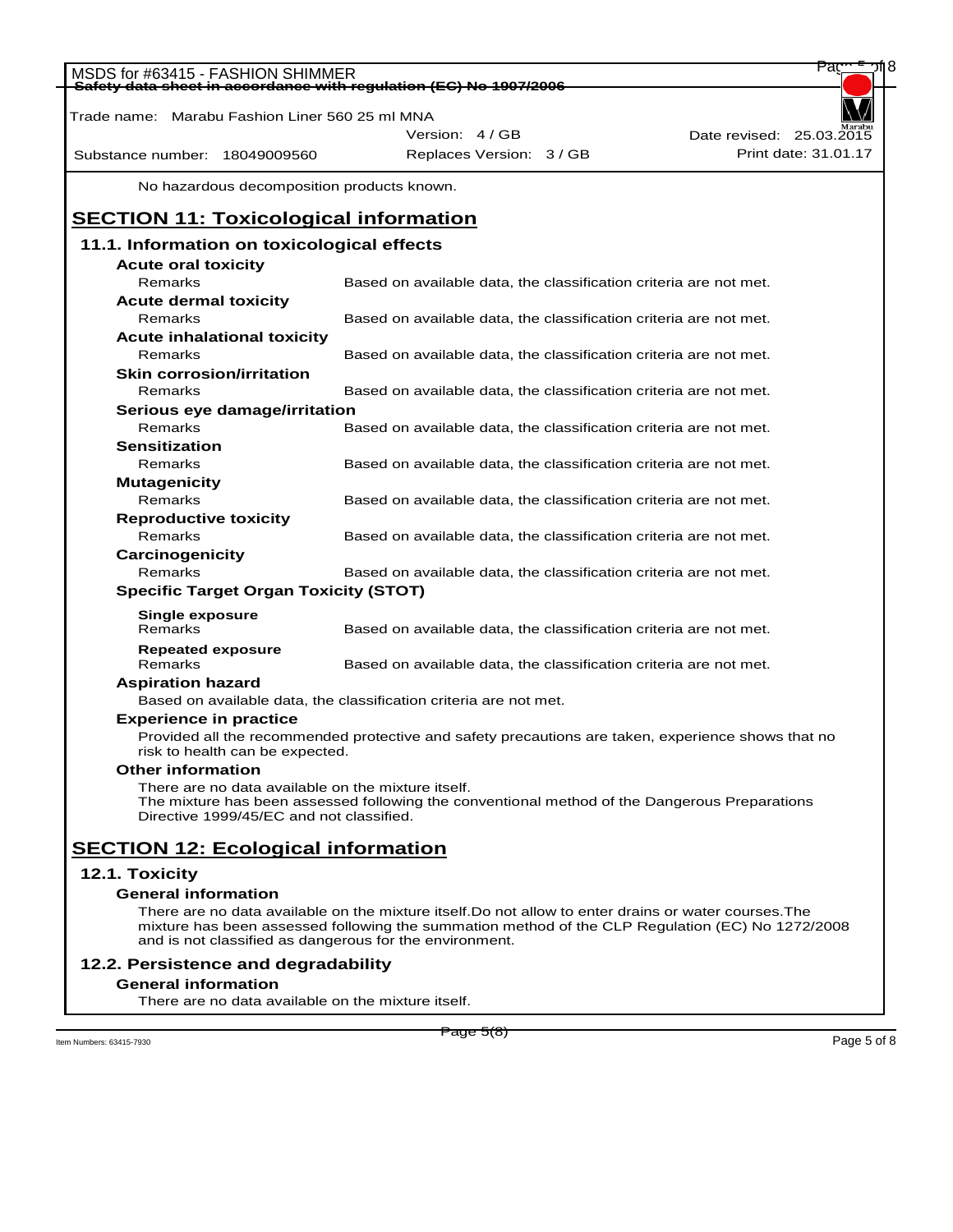| MSDS for #63415 - FASHION SHIMMER                                                                                                                                                               |                                                                   | Pac                                                                                                |
|-------------------------------------------------------------------------------------------------------------------------------------------------------------------------------------------------|-------------------------------------------------------------------|----------------------------------------------------------------------------------------------------|
| Safety data sheet in accordance with regulation (EC) No 1907/2006                                                                                                                               |                                                                   |                                                                                                    |
| Trade name: Marabu Fashion Liner 560 25 ml MNA                                                                                                                                                  |                                                                   |                                                                                                    |
|                                                                                                                                                                                                 | Version: 4/GB                                                     | Date revised: 25.03.2015                                                                           |
| Substance number: 18049009560                                                                                                                                                                   | Replaces Version: 3 / GB                                          | Print date: 31.01.17                                                                               |
| No hazardous decomposition products known.                                                                                                                                                      |                                                                   |                                                                                                    |
| <b>SECTION 11: Toxicological information</b>                                                                                                                                                    |                                                                   |                                                                                                    |
| 11.1. Information on toxicological effects                                                                                                                                                      |                                                                   |                                                                                                    |
| <b>Acute oral toxicity</b>                                                                                                                                                                      |                                                                   |                                                                                                    |
| Remarks                                                                                                                                                                                         | Based on available data, the classification criteria are not met. |                                                                                                    |
| <b>Acute dermal toxicity</b>                                                                                                                                                                    |                                                                   |                                                                                                    |
| Remarks                                                                                                                                                                                         | Based on available data, the classification criteria are not met. |                                                                                                    |
| Acute inhalational toxicity                                                                                                                                                                     |                                                                   |                                                                                                    |
| Remarks                                                                                                                                                                                         | Based on available data, the classification criteria are not met. |                                                                                                    |
| <b>Skin corrosion/irritation</b>                                                                                                                                                                |                                                                   |                                                                                                    |
| Remarks                                                                                                                                                                                         | Based on available data, the classification criteria are not met. |                                                                                                    |
| Serious eye damage/irritation                                                                                                                                                                   |                                                                   |                                                                                                    |
| Remarks                                                                                                                                                                                         | Based on available data, the classification criteria are not met. |                                                                                                    |
| <b>Sensitization</b>                                                                                                                                                                            |                                                                   |                                                                                                    |
| Remarks                                                                                                                                                                                         | Based on available data, the classification criteria are not met. |                                                                                                    |
| <b>Mutagenicity</b>                                                                                                                                                                             |                                                                   |                                                                                                    |
| Remarks                                                                                                                                                                                         | Based on available data, the classification criteria are not met. |                                                                                                    |
| <b>Reproductive toxicity</b>                                                                                                                                                                    |                                                                   |                                                                                                    |
| Remarks                                                                                                                                                                                         | Based on available data, the classification criteria are not met. |                                                                                                    |
| Carcinogenicity                                                                                                                                                                                 |                                                                   |                                                                                                    |
| Remarks                                                                                                                                                                                         | Based on available data, the classification criteria are not met. |                                                                                                    |
| <b>Specific Target Organ Toxicity (STOT)</b>                                                                                                                                                    |                                                                   |                                                                                                    |
| Single exposure                                                                                                                                                                                 |                                                                   |                                                                                                    |
| Remarks                                                                                                                                                                                         | Based on available data, the classification criteria are not met. |                                                                                                    |
| <b>Repeated exposure</b>                                                                                                                                                                        |                                                                   |                                                                                                    |
| Remarks                                                                                                                                                                                         | Based on available data, the classification criteria are not met. |                                                                                                    |
| <b>Aspiration hazard</b>                                                                                                                                                                        |                                                                   |                                                                                                    |
| Based on available data, the classification criteria are not met.                                                                                                                               |                                                                   |                                                                                                    |
| <b>Experience in practice</b>                                                                                                                                                                   |                                                                   |                                                                                                    |
| risk to health can be expected.                                                                                                                                                                 |                                                                   | Provided all the recommended protective and safety precautions are taken, experience shows that no |
| <b>Other information</b>                                                                                                                                                                        |                                                                   |                                                                                                    |
| There are no data available on the mixture itself.<br>The mixture has been assessed following the conventional method of the Dangerous Preparations<br>Directive 1999/45/EC and not classified. |                                                                   |                                                                                                    |
| <b>SECTION 12: Ecological information</b>                                                                                                                                                       |                                                                   |                                                                                                    |
| 12.1. Toxicity                                                                                                                                                                                  |                                                                   |                                                                                                    |
| <b>General information</b>                                                                                                                                                                      |                                                                   |                                                                                                    |
| There are no data available on the mixture itself. Do not allow to enter drains or water courses. The                                                                                           |                                                                   |                                                                                                    |
| and is not classified as dangerous for the environment.                                                                                                                                         |                                                                   | mixture has been assessed following the summation method of the CLP Regulation (EC) No 1272/2008   |
| 12.2. Persistence and degradability                                                                                                                                                             |                                                                   |                                                                                                    |
| <b>General information</b>                                                                                                                                                                      |                                                                   |                                                                                                    |

There are no data available on the mixture itself.

 $P_3$  Item Numbers: 63415-7930 Page 5 of 8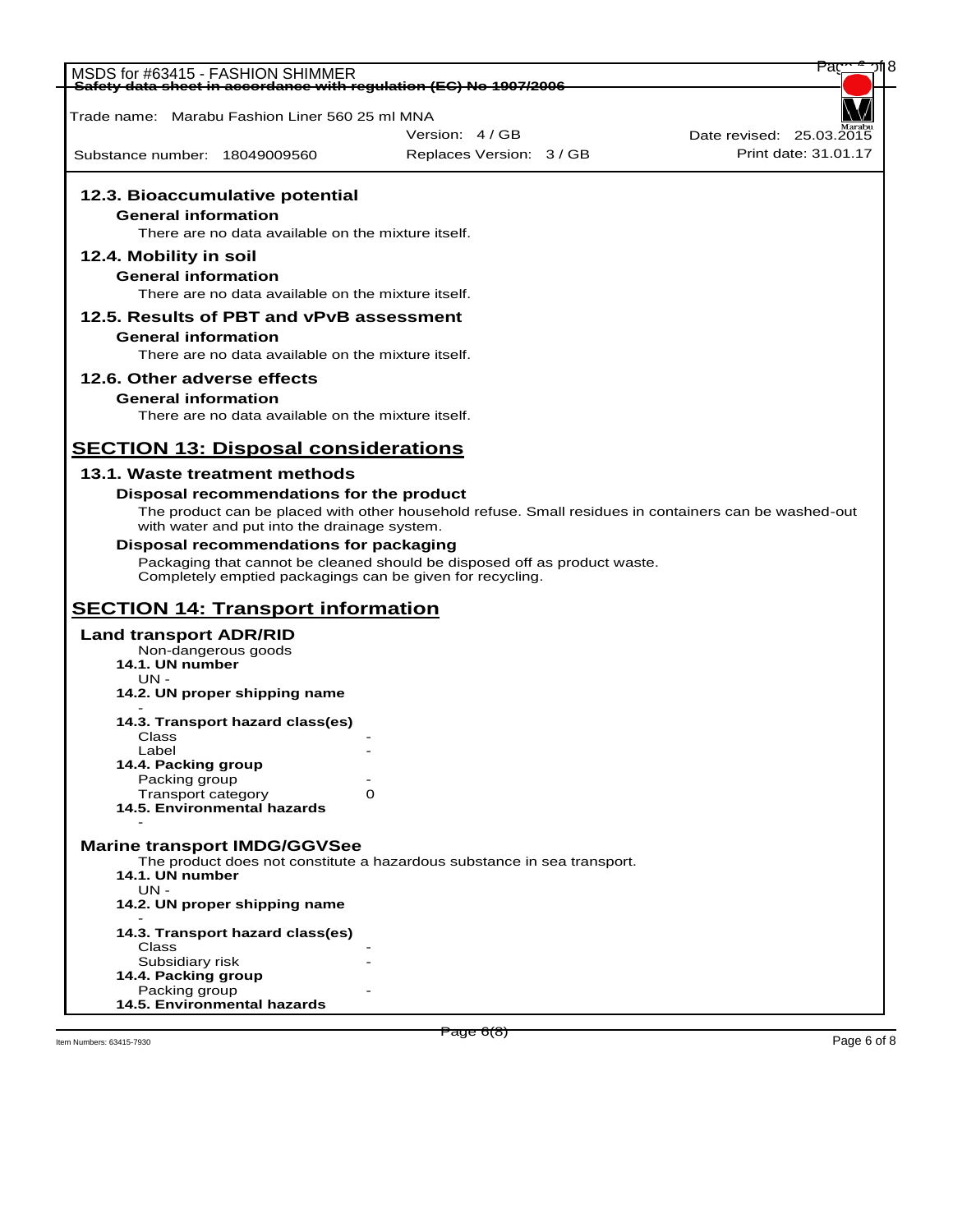|                                                                                                        |                                                                                                       | Pac                      |
|--------------------------------------------------------------------------------------------------------|-------------------------------------------------------------------------------------------------------|--------------------------|
| MSDS for #63415 - FASHION SHIMMER<br>Safety data sheet in accordance with regulation (EC) No 1907/2006 |                                                                                                       |                          |
|                                                                                                        |                                                                                                       |                          |
| Trade name: Marabu Fashion Liner 560 25 ml MNA                                                         |                                                                                                       |                          |
|                                                                                                        | Version: 4 / GB                                                                                       | Date revised: 25.03.2015 |
| Substance number: 18049009560                                                                          | Replaces Version: 3 / GB                                                                              | Print date: 31.01.17     |
|                                                                                                        |                                                                                                       |                          |
|                                                                                                        |                                                                                                       |                          |
| 12.3. Bioaccumulative potential                                                                        |                                                                                                       |                          |
| <b>General information</b>                                                                             |                                                                                                       |                          |
| There are no data available on the mixture itself.                                                     |                                                                                                       |                          |
| 12.4. Mobility in soil                                                                                 |                                                                                                       |                          |
| <b>General information</b>                                                                             |                                                                                                       |                          |
| There are no data available on the mixture itself.                                                     |                                                                                                       |                          |
|                                                                                                        |                                                                                                       |                          |
| 12.5. Results of PBT and vPvB assessment                                                               |                                                                                                       |                          |
| <b>General information</b>                                                                             |                                                                                                       |                          |
| There are no data available on the mixture itself.                                                     |                                                                                                       |                          |
| 12.6. Other adverse effects                                                                            |                                                                                                       |                          |
| <b>General information</b>                                                                             |                                                                                                       |                          |
| There are no data available on the mixture itself.                                                     |                                                                                                       |                          |
|                                                                                                        |                                                                                                       |                          |
| <b>SECTION 13: Disposal considerations</b>                                                             |                                                                                                       |                          |
|                                                                                                        |                                                                                                       |                          |
| 13.1. Waste treatment methods                                                                          |                                                                                                       |                          |
| Disposal recommendations for the product                                                               |                                                                                                       |                          |
|                                                                                                        | The product can be placed with other household refuse. Small residues in containers can be washed-out |                          |
| with water and put into the drainage system.                                                           |                                                                                                       |                          |
| Disposal recommendations for packaging                                                                 |                                                                                                       |                          |
|                                                                                                        | Packaging that cannot be cleaned should be disposed off as product waste.                             |                          |
| Completely emptied packagings can be given for recycling.                                              |                                                                                                       |                          |
|                                                                                                        |                                                                                                       |                          |
| <b>SECTION 14: Transport information</b>                                                               |                                                                                                       |                          |
| <b>Land transport ADR/RID</b>                                                                          |                                                                                                       |                          |
| Non-dangerous goods                                                                                    |                                                                                                       |                          |
| 14.1. UN number                                                                                        |                                                                                                       |                          |
| $UN -$<br>14.2. UN proper shipping name                                                                |                                                                                                       |                          |
|                                                                                                        |                                                                                                       |                          |
| 14.3. Transport hazard class(es)                                                                       |                                                                                                       |                          |
| Class                                                                                                  |                                                                                                       |                          |
| Label                                                                                                  |                                                                                                       |                          |
| 14.4. Packing group                                                                                    |                                                                                                       |                          |
| Packing group<br>Transport category                                                                    | O                                                                                                     |                          |
| 14.5. Environmental hazards                                                                            |                                                                                                       |                          |
|                                                                                                        |                                                                                                       |                          |
| <b>Marine transport IMDG/GGVSee</b>                                                                    |                                                                                                       |                          |
|                                                                                                        | The product does not constitute a hazardous substance in sea transport.                               |                          |
| 14.1. UN number                                                                                        |                                                                                                       |                          |
| UN -                                                                                                   |                                                                                                       |                          |
| 14.2. UN proper shipping name                                                                          |                                                                                                       |                          |
|                                                                                                        |                                                                                                       |                          |
| 14.3. Transport hazard class(es)                                                                       |                                                                                                       |                          |
| Class<br>Subsidiary risk                                                                               |                                                                                                       |                          |
| 14.4. Packing group                                                                                    |                                                                                                       |                          |
| Packing group                                                                                          |                                                                                                       |                          |
| 14.5. Environmental hazards                                                                            |                                                                                                       |                          |
|                                                                                                        |                                                                                                       |                          |
| Item Numbers: 63415-7930                                                                               | <del>Раде 6(8)</del>                                                                                  | Page 6 of 8              |